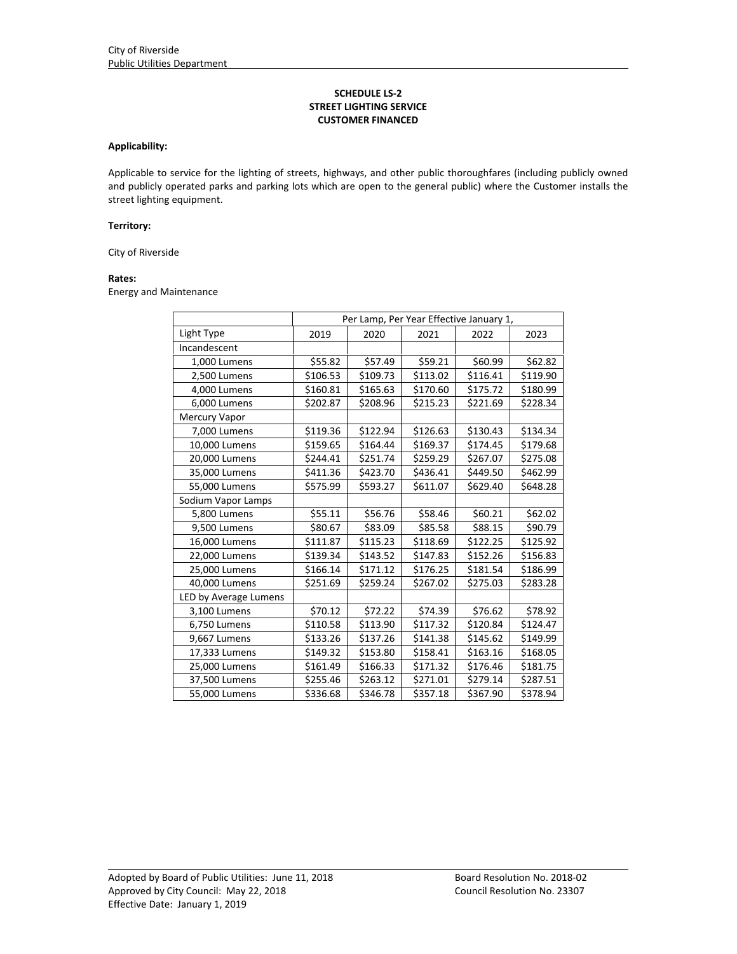## **SCHEDULE LS‐2 STREET LIGHTING SERVICE CUSTOMER FINANCED**

#### **Applicability:**

Applicable to service for the lighting of streets, highways, and other public thoroughfares (including publicly owned and publicly operated parks and parking lots which are open to the general public) where the Customer installs the street lighting equipment.

#### **Territory:**

City of Riverside

# **Rates:**

Energy and Maintenance

|                       | Per Lamp, Per Year Effective January 1, |          |          |          |          |  |  |
|-----------------------|-----------------------------------------|----------|----------|----------|----------|--|--|
| Light Type            | 2019                                    | 2020     | 2021     | 2022     | 2023     |  |  |
| Incandescent          |                                         |          |          |          |          |  |  |
| 1,000 Lumens          | \$55.82                                 | \$57.49  | \$59.21  | \$60.99  | \$62.82  |  |  |
| 2,500 Lumens          | \$106.53                                | \$109.73 | \$113.02 | \$116.41 | \$119.90 |  |  |
| 4,000 Lumens          | \$160.81                                | \$165.63 | \$170.60 | \$175.72 | \$180.99 |  |  |
| 6,000 Lumens          | \$202.87                                | \$208.96 | \$215.23 | \$221.69 | \$228.34 |  |  |
| Mercury Vapor         |                                         |          |          |          |          |  |  |
| 7,000 Lumens          | \$119.36                                | \$122.94 | \$126.63 | \$130.43 | \$134.34 |  |  |
| 10,000 Lumens         | \$159.65                                | \$164.44 | \$169.37 | \$174.45 | \$179.68 |  |  |
| 20,000 Lumens         | \$244.41                                | \$251.74 | \$259.29 | \$267.07 | \$275.08 |  |  |
| 35,000 Lumens         | \$411.36                                | \$423.70 | \$436.41 | \$449.50 | \$462.99 |  |  |
| 55,000 Lumens         | \$575.99                                | \$593.27 | \$611.07 | \$629.40 | \$648.28 |  |  |
| Sodium Vapor Lamps    |                                         |          |          |          |          |  |  |
| 5,800 Lumens          | \$55.11                                 | \$56.76  | \$58.46  | \$60.21  | \$62.02  |  |  |
| 9,500 Lumens          | \$80.67                                 | \$83.09  | \$85.58  | \$88.15  | \$90.79  |  |  |
| 16,000 Lumens         | \$111.87                                | \$115.23 | \$118.69 | \$122.25 | \$125.92 |  |  |
| 22,000 Lumens         | \$139.34                                | \$143.52 | \$147.83 | \$152.26 | \$156.83 |  |  |
| 25,000 Lumens         | \$166.14                                | \$171.12 | \$176.25 | \$181.54 | \$186.99 |  |  |
| 40,000 Lumens         | \$251.69                                | \$259.24 | \$267.02 | \$275.03 | \$283.28 |  |  |
| LED by Average Lumens |                                         |          |          |          |          |  |  |
| 3,100 Lumens          | \$70.12                                 | \$72.22  | \$74.39  | \$76.62  | \$78.92  |  |  |
| 6,750 Lumens          | \$110.58                                | \$113.90 | \$117.32 | \$120.84 | \$124.47 |  |  |
| 9,667 Lumens          | \$133.26                                | \$137.26 | \$141.38 | \$145.62 | \$149.99 |  |  |
| 17,333 Lumens         | \$149.32                                | \$153.80 | \$158.41 | \$163.16 | \$168.05 |  |  |
| 25,000 Lumens         | \$161.49                                | \$166.33 | \$171.32 | \$176.46 | \$181.75 |  |  |
| 37,500 Lumens         | \$255.46                                | \$263.12 | \$271.01 | \$279.14 | \$287.51 |  |  |
| 55,000 Lumens         | \$336.68                                | \$346.78 | \$357.18 | \$367.90 | \$378.94 |  |  |

<u> 1989 - Johann Stoff, amerikansk politiker (d. 1989)</u>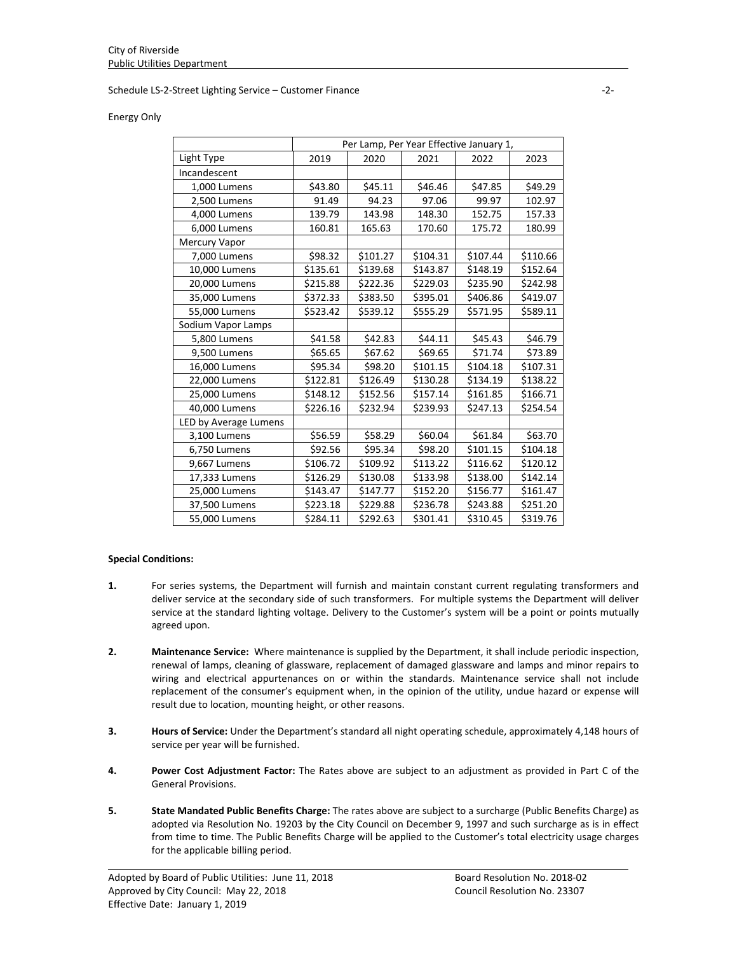#### Schedule LS‐2‐Street Lighting Service – Customer Finance ‐2‐

#### Energy Only

|                       | Per Lamp, Per Year Effective January 1, |          |          |          |          |  |  |
|-----------------------|-----------------------------------------|----------|----------|----------|----------|--|--|
| Light Type            | 2019                                    | 2020     | 2021     | 2022     | 2023     |  |  |
| Incandescent          |                                         |          |          |          |          |  |  |
| 1,000 Lumens          | \$43.80                                 | \$45.11  | \$46.46  | \$47.85  | \$49.29  |  |  |
| 2,500 Lumens          | 91.49                                   | 94.23    | 97.06    | 99.97    | 102.97   |  |  |
| 4,000 Lumens          | 139.79                                  | 143.98   | 148.30   | 152.75   | 157.33   |  |  |
| 6,000 Lumens          | 160.81                                  | 165.63   | 170.60   | 175.72   | 180.99   |  |  |
| Mercury Vapor         |                                         |          |          |          |          |  |  |
| 7,000 Lumens          | \$98.32                                 | \$101.27 | \$104.31 | \$107.44 | \$110.66 |  |  |
| 10,000 Lumens         | \$135.61                                | \$139.68 | \$143.87 | \$148.19 | \$152.64 |  |  |
| 20,000 Lumens         | \$215.88                                | \$222.36 | \$229.03 | \$235.90 | \$242.98 |  |  |
| 35,000 Lumens         | \$372.33                                | \$383.50 | \$395.01 | \$406.86 | \$419.07 |  |  |
| 55,000 Lumens         | \$523.42                                | \$539.12 | \$555.29 | \$571.95 | \$589.11 |  |  |
| Sodium Vapor Lamps    |                                         |          |          |          |          |  |  |
| 5,800 Lumens          | \$41.58                                 | \$42.83  | \$44.11  | \$45.43  | \$46.79  |  |  |
| 9,500 Lumens          | \$65.65                                 | \$67.62  | \$69.65  | \$71.74  | \$73.89  |  |  |
| 16,000 Lumens         | \$95.34                                 | \$98.20  | \$101.15 | \$104.18 | \$107.31 |  |  |
| 22,000 Lumens         | \$122.81                                | \$126.49 | \$130.28 | \$134.19 | \$138.22 |  |  |
| 25,000 Lumens         | \$148.12                                | \$152.56 | \$157.14 | \$161.85 | \$166.71 |  |  |
| 40,000 Lumens         | \$226.16                                | \$232.94 | \$239.93 | \$247.13 | \$254.54 |  |  |
| LED by Average Lumens |                                         |          |          |          |          |  |  |
| 3,100 Lumens          | \$56.59                                 | \$58.29  | \$60.04  | \$61.84  | \$63.70  |  |  |
| 6,750 Lumens          | \$92.56                                 | \$95.34  | \$98.20  | \$101.15 | \$104.18 |  |  |
| 9,667 Lumens          | \$106.72                                | \$109.92 | \$113.22 | \$116.62 | \$120.12 |  |  |
| 17,333 Lumens         | \$126.29                                | \$130.08 | \$133.98 | \$138.00 | \$142.14 |  |  |
| 25,000 Lumens         | \$143.47                                | \$147.77 | \$152.20 | \$156.77 | \$161.47 |  |  |
| 37,500 Lumens         | \$223.18                                | \$229.88 | \$236.78 | \$243.88 | \$251.20 |  |  |
| 55,000 Lumens         | \$284.11                                | \$292.63 | \$301.41 | \$310.45 | \$319.76 |  |  |

## **Special Conditions:**

- **1.** For series systems, the Department will furnish and maintain constant current regulating transformers and deliver service at the secondary side of such transformers. For multiple systems the Department will deliver service at the standard lighting voltage. Delivery to the Customer's system will be a point or points mutually agreed upon.
- **2. Maintenance Service:** Where maintenance is supplied by the Department, it shall include periodic inspection, renewal of lamps, cleaning of glassware, replacement of damaged glassware and lamps and minor repairs to wiring and electrical appurtenances on or within the standards. Maintenance service shall not include replacement of the consumer's equipment when, in the opinion of the utility, undue hazard or expense will result due to location, mounting height, or other reasons.
- **3. Hours of Service:** Under the Department's standard all night operating schedule, approximately 4,148 hours of service per year will be furnished.
- **4. Power Cost Adjustment Factor:** The Rates above are subject to an adjustment as provided in Part C of the General Provisions.
- **5. State Mandated Public Benefits Charge:** The rates above are subject to a surcharge (Public Benefits Charge) as adopted via Resolution No. 19203 by the City Council on December 9, 1997 and such surcharge as is in effect from time to time. The Public Benefits Charge will be applied to the Customer's total electricity usage charges for the applicable billing period.

<u> 1989 - Johann Stoff, amerikansk politiker (d. 1989)</u>